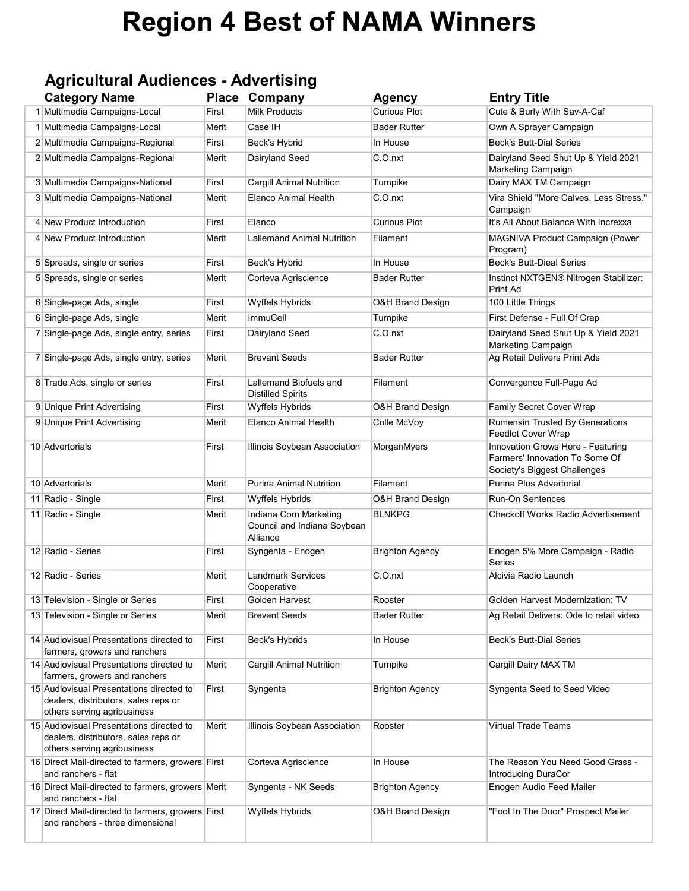# Region 4 Best of NAMA Winners

# Agricultural Audiences - Advertising

| <b>Category Name</b>                                                                                            | <b>Place</b> | Company                                                           | <b>Agency</b>               | <b>Entry Title</b>                                                                                  |
|-----------------------------------------------------------------------------------------------------------------|--------------|-------------------------------------------------------------------|-----------------------------|-----------------------------------------------------------------------------------------------------|
| 1 Multimedia Campaigns-Local                                                                                    | First        | <b>Milk Products</b>                                              | <b>Curious Plot</b>         | Cute & Burly With Sav-A-Caf                                                                         |
| 1 Multimedia Campaigns-Local                                                                                    | Merit        | Case IH                                                           | <b>Bader Rutter</b>         | Own A Sprayer Campaign                                                                              |
| 2 Multimedia Campaigns-Regional                                                                                 | First        | Beck's Hybrid                                                     | In House                    | <b>Beck's Butt-Dial Series</b>                                                                      |
| 2 Multimedia Campaigns-Regional                                                                                 | Merit        | Dairyland Seed                                                    | C.O.nxt                     | Dairyland Seed Shut Up & Yield 2021<br>Marketing Campaign                                           |
| 3 Multimedia Campaigns-National                                                                                 | First        | <b>Cargill Animal Nutrition</b>                                   | Turnpike                    | Dairy MAX TM Campaign                                                                               |
| 3 Multimedia Campaigns-National                                                                                 | Merit        | <b>Elanco Animal Health</b>                                       | C.O.nxt                     | Vira Shield "More Calves. Less Stress."<br>Campaign                                                 |
| 4 New Product Introduction                                                                                      | First        | Elanco                                                            | <b>Curious Plot</b>         | It's All About Balance With Increxxa                                                                |
| 4 New Product Introduction                                                                                      | Merit        | <b>Lallemand Animal Nutrition</b>                                 | Filament                    | MAGNIVA Product Campaign (Power<br>Program)                                                         |
| 5 Spreads, single or series                                                                                     | First        | Beck's Hybrid                                                     | In House                    | <b>Beck's Butt-Dieal Series</b>                                                                     |
| 5 Spreads, single or series                                                                                     | Merit        | Corteva Agriscience                                               | <b>Bader Rutter</b>         | Instinct NXTGEN® Nitrogen Stabilizer:<br>Print Ad                                                   |
| 6 Single-page Ads, single                                                                                       | First        | Wyffels Hybrids                                                   | <b>O&amp;H Brand Design</b> | 100 Little Things                                                                                   |
| 6 Single-page Ads, single                                                                                       | Merit        | ImmuCell                                                          | Turnpike                    | First Defense - Full Of Crap                                                                        |
| 7 Single-page Ads, single entry, series                                                                         | First        | Dairyland Seed                                                    | C.O.nxt                     | Dairyland Seed Shut Up & Yield 2021<br>Marketing Campaign                                           |
| 7 Single-page Ads, single entry, series                                                                         | Merit        | <b>Brevant Seeds</b>                                              | <b>Bader Rutter</b>         | Ag Retail Delivers Print Ads                                                                        |
| 8 Trade Ads, single or series                                                                                   | First        | Lallemand Biofuels and<br><b>Distilled Spirits</b>                | Filament                    | Convergence Full-Page Ad                                                                            |
| 9 Unique Print Advertising                                                                                      | First        | Wyffels Hybrids                                                   | <b>O&amp;H Brand Design</b> | Family Secret Cover Wrap                                                                            |
| 9 Unique Print Advertising                                                                                      | Merit        | <b>Elanco Animal Health</b>                                       | Colle McVoy                 | Rumensin Trusted By Generations<br>Feedlot Cover Wrap                                               |
| 10 Advertorials                                                                                                 | First        | Illinois Soybean Association                                      | MorganMyers                 | Innovation Grows Here - Featuring<br>Farmers' Innovation To Some Of<br>Society's Biggest Challenges |
| 10 Advertorials                                                                                                 | Merit        | <b>Purina Animal Nutrition</b>                                    | Filament                    | Purina Plus Advertorial                                                                             |
| 11 Radio - Single                                                                                               | First        | Wyffels Hybrids                                                   | <b>O&amp;H Brand Design</b> | <b>Run-On Sentences</b>                                                                             |
| 11 Radio - Single                                                                                               | Merit        | Indiana Corn Marketing<br>Council and Indiana Soybean<br>Alliance | <b>BLNKPG</b>               | <b>Checkoff Works Radio Advertisement</b>                                                           |
| 12 Radio - Series                                                                                               | First        | Syngenta - Enogen                                                 | <b>Brighton Agency</b>      | Enogen 5% More Campaign - Radio<br>Series                                                           |
| 12 Radio - Series                                                                                               | Merit        | <b>Landmark Services</b><br>Cooperative                           | C.O.nxt                     | Alcivia Radio Launch                                                                                |
| 13 Television - Single or Series                                                                                | First        | Golden Harvest                                                    | Rooster                     | Golden Harvest Modernization: TV                                                                    |
| 13 Television - Single or Series                                                                                | Merit        | <b>Brevant Seeds</b>                                              | <b>Bader Rutter</b>         | Ag Retail Delivers: Ode to retail video                                                             |
| 14 Audiovisual Presentations directed to<br>farmers, growers and ranchers                                       | First        | Beck's Hybrids                                                    | In House                    | <b>Beck's Butt-Dial Series</b>                                                                      |
| 14 Audiovisual Presentations directed to<br>farmers, growers and ranchers                                       | Merit        | <b>Cargill Animal Nutrition</b>                                   | Turnpike                    | Cargill Dairy MAX TM                                                                                |
| 15 Audiovisual Presentations directed to<br>dealers, distributors, sales reps or<br>others serving agribusiness | First        | Syngenta                                                          | <b>Brighton Agency</b>      | Syngenta Seed to Seed Video                                                                         |
| 15 Audiovisual Presentations directed to<br>dealers, distributors, sales reps or<br>others serving agribusiness | Merit        | Illinois Soybean Association                                      | Rooster                     | <b>Virtual Trade Teams</b>                                                                          |
| 16 Direct Mail-directed to farmers, growers First<br>and ranchers - flat                                        |              | Corteva Agriscience                                               | In House                    | The Reason You Need Good Grass -<br>Introducing DuraCor                                             |
| 16 Direct Mail-directed to farmers, growers Merit<br>and ranchers - flat                                        |              | Syngenta - NK Seeds                                               | <b>Brighton Agency</b>      | Enogen Audio Feed Mailer                                                                            |
| 17 Direct Mail-directed to farmers, growers First<br>and ranchers - three dimensional                           |              | Wyffels Hybrids                                                   | O&H Brand Design            | "Foot In The Door" Prospect Mailer                                                                  |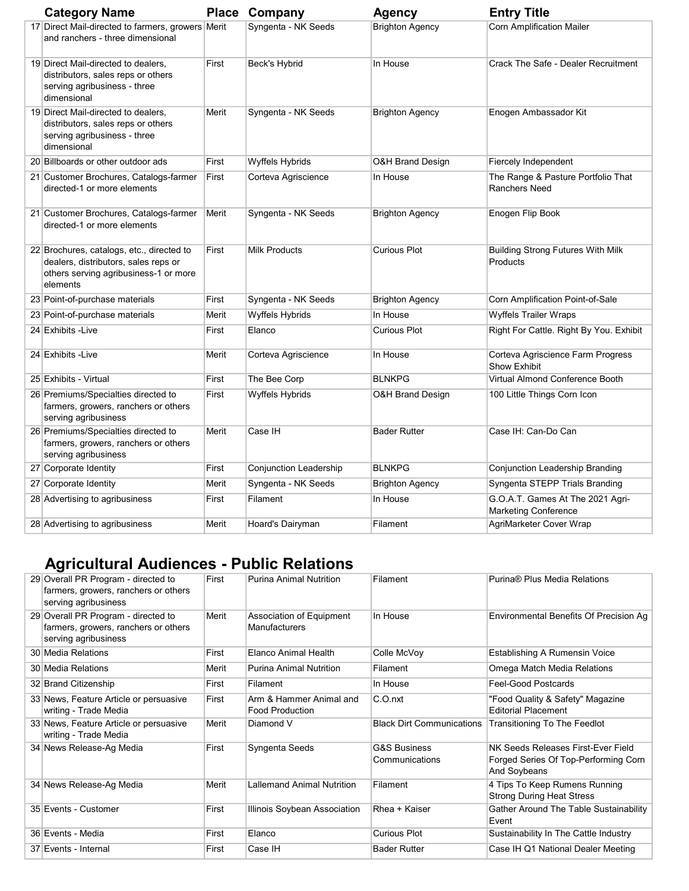| <b>Category Name</b>                                                                                                                   |       | <b>Place Company</b>          | <b>Agency</b>               | <b>Entry Title</b>                                              |
|----------------------------------------------------------------------------------------------------------------------------------------|-------|-------------------------------|-----------------------------|-----------------------------------------------------------------|
| 17 Direct Mail-directed to farmers, growers Merit<br>and ranchers - three dimensional                                                  |       | Syngenta - NK Seeds           | <b>Brighton Agency</b>      | <b>Corn Amplification Mailer</b>                                |
| 19 Direct Mail-directed to dealers,<br>distributors, sales reps or others<br>serving agribusiness - three<br>dimensional               | First | Beck's Hybrid                 | In House                    | Crack The Safe - Dealer Recruitment                             |
| 19 Direct Mail-directed to dealers,<br>distributors, sales reps or others<br>serving agribusiness - three<br>dimensional               | Merit | Syngenta - NK Seeds           | <b>Brighton Agency</b>      | Enogen Ambassador Kit                                           |
| 20 Billboards or other outdoor ads                                                                                                     | First | Wyffels Hybrids               | O&H Brand Design            | Fiercely Independent                                            |
| 21 Customer Brochures, Catalogs-farmer<br>directed-1 or more elements                                                                  | First | Corteva Agriscience           | In House                    | The Range & Pasture Portfolio That<br><b>Ranchers Need</b>      |
| 21 Customer Brochures, Catalogs-farmer<br>directed-1 or more elements                                                                  | Merit | Syngenta - NK Seeds           | <b>Brighton Agency</b>      | Enogen Flip Book                                                |
| 22 Brochures, catalogs, etc., directed to<br>dealers, distributors, sales reps or<br>others serving agribusiness-1 or more<br>elements | First | <b>Milk Products</b>          | <b>Curious Plot</b>         | <b>Building Strong Futures With Milk</b><br>Products            |
| 23 Point-of-purchase materials                                                                                                         | First | Syngenta - NK Seeds           | <b>Brighton Agency</b>      | Corn Amplification Point-of-Sale                                |
| 23 Point-of-purchase materials                                                                                                         | Merit | Wyffels Hybrids               | In House                    | <b>Wyffels Trailer Wraps</b>                                    |
| 24 Exhibits - Live                                                                                                                     | First | Elanco                        | <b>Curious Plot</b>         | Right For Cattle. Right By You. Exhibit                         |
| 24 Exhibits - Live                                                                                                                     | Merit | Corteva Agriscience           | In House                    | Corteva Agriscience Farm Progress<br>Show Exhibit               |
| 25 Exhibits - Virtual                                                                                                                  | First | The Bee Corp                  | <b>BLNKPG</b>               | <b>Virtual Almond Conference Booth</b>                          |
| 26 Premiums/Specialties directed to<br>farmers, growers, ranchers or others<br>serving agribusiness                                    | First | <b>Wyffels Hybrids</b>        | <b>O&amp;H Brand Design</b> | 100 Little Things Corn Icon                                     |
| 26 Premiums/Specialties directed to<br>farmers, growers, ranchers or others<br>serving agribusiness                                    | Merit | Case IH                       | <b>Bader Rutter</b>         | Case IH: Can-Do Can                                             |
| 27 Corporate Identity                                                                                                                  | First | <b>Conjunction Leadership</b> | <b>BLNKPG</b>               | Conjunction Leadership Branding                                 |
| 27 Corporate Identity                                                                                                                  | Merit | Syngenta - NK Seeds           | <b>Brighton Agency</b>      | Syngenta STEPP Trials Branding                                  |
| 28 Advertising to agribusiness                                                                                                         | First | Filament                      | In House                    | G.O.A.T. Games At The 2021 Agri-<br><b>Marketing Conference</b> |
| 28 Advertising to agribusiness                                                                                                         | Merit | Hoard's Dairyman              | Filament                    | AgriMarketer Cover Wrap                                         |

# Agricultural Audiences - Public Relations

| 29 Overall PR Program - directed to<br>farmers, growers, ranchers or others<br>serving agribusiness | First | <b>Purina Animal Nutrition</b>                    | Filament                                  | Purina® Plus Media Relations                                                               |
|-----------------------------------------------------------------------------------------------------|-------|---------------------------------------------------|-------------------------------------------|--------------------------------------------------------------------------------------------|
| 29 Overall PR Program - directed to<br>farmers, growers, ranchers or others<br>serving agribusiness | Merit | Association of Equipment<br>Manufacturers         | In House                                  | Environmental Benefits Of Precision Ag                                                     |
| 30 Media Relations                                                                                  | First | Elanco Animal Health                              | Colle McVoy                               | Establishing A Rumensin Voice                                                              |
| 30 Media Relations                                                                                  | Merit | <b>Purina Animal Nutrition</b>                    | Filament                                  | Omega Match Media Relations                                                                |
| 32 Brand Citizenship                                                                                | First | Filament                                          | In House                                  | Feel-Good Postcards                                                                        |
| 33 News, Feature Article or persuasive<br>writing - Trade Media                                     | First | Arm & Hammer Animal and<br><b>Food Production</b> | C.O.nxt                                   | "Food Quality & Safety" Magazine<br><b>Editorial Placement</b>                             |
| 33 News, Feature Article or persuasive<br>writing - Trade Media                                     | Merit | Diamond V                                         | <b>Black Dirt Communications</b>          | Transitioning To The Feedlot                                                               |
| 34 News Release-Ag Media                                                                            | First | Syngenta Seeds                                    | <b>G&amp;S Business</b><br>Communications | NK Seeds Releases First-Ever Field<br>Forged Series Of Top-Performing Corn<br>And Soybeans |
| 34 News Release-Ag Media                                                                            | Merit | <b>Lallemand Animal Nutrition</b>                 | Filament                                  | 4 Tips To Keep Rumens Running<br><b>Strong During Heat Stress</b>                          |
| 35 Events - Customer                                                                                | First | Illinois Soybean Association                      | Rhea + Kaiser                             | Gather Around The Table Sustainability<br>Event                                            |
| 36 Events - Media                                                                                   | First | Elanco                                            | <b>Curious Plot</b>                       | Sustainability In The Cattle Industry                                                      |
| 37 Events - Internal                                                                                | First | Case IH                                           | <b>Bader Rutter</b>                       | Case IH Q1 National Dealer Meeting                                                         |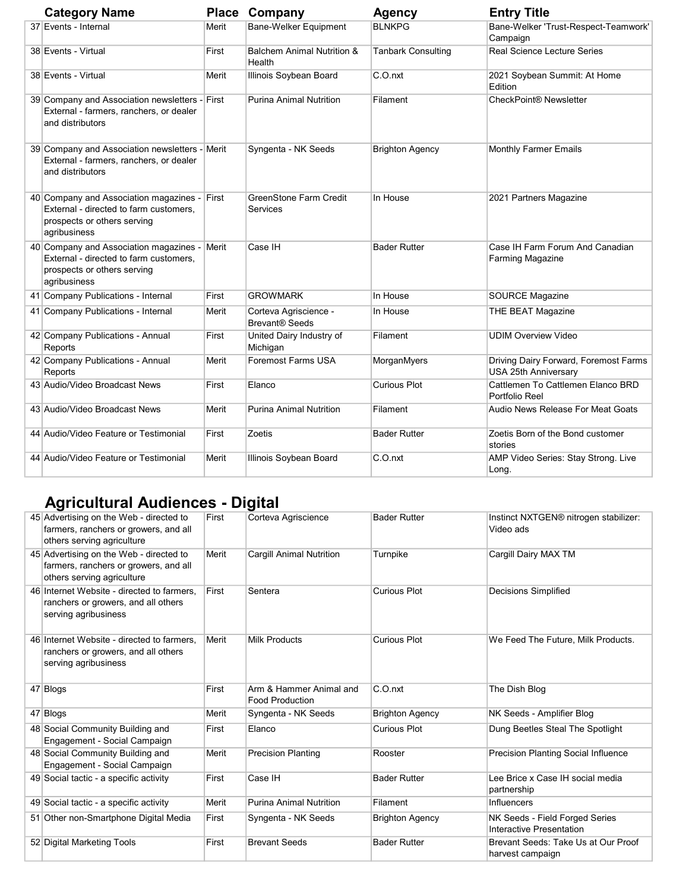| <b>Category Name</b>                                                                                                                  |       | <b>Place Company</b>                           | <b>Agency</b>             | <b>Entry Title</b>                                            |
|---------------------------------------------------------------------------------------------------------------------------------------|-------|------------------------------------------------|---------------------------|---------------------------------------------------------------|
| 37 Events - Internal                                                                                                                  | Merit | Bane-Welker Equipment                          | <b>BLNKPG</b>             | Bane-Welker 'Trust-Respect-Teamwork'<br>Campaign              |
| 38 Events - Virtual                                                                                                                   | First | Balchem Animal Nutrition &<br>Health           | <b>Tanbark Consulting</b> | Real Science Lecture Series                                   |
| 38 Events - Virtual                                                                                                                   | Merit | Illinois Soybean Board                         | C.O.nxt                   | 2021 Soybean Summit: At Home<br>Edition                       |
| 39 Company and Association newsletters - First<br>External - farmers, ranchers, or dealer<br>and distributors                         |       | <b>Purina Animal Nutrition</b>                 | Filament                  | CheckPoint <sup>®</sup> Newsletter                            |
| 39 Company and Association newsletters - Merit<br>External - farmers, ranchers, or dealer<br>and distributors                         |       | Syngenta - NK Seeds                            | <b>Brighton Agency</b>    | <b>Monthly Farmer Emails</b>                                  |
| 40 Company and Association magazines - First<br>External - directed to farm customers,<br>prospects or others serving<br>agribusiness |       | <b>GreenStone Farm Credit</b><br>Services      | In House                  | 2021 Partners Magazine                                        |
| 40 Company and Association magazines - Merit<br>External - directed to farm customers.<br>prospects or others serving<br>agribusiness |       | Case IH                                        | <b>Bader Rutter</b>       | Case IH Farm Forum And Canadian<br><b>Farming Magazine</b>    |
| 41 Company Publications - Internal                                                                                                    | First | <b>GROWMARK</b>                                | In House                  | <b>SOURCE Magazine</b>                                        |
| 41 Company Publications - Internal                                                                                                    | Merit | Corteva Agriscience -<br><b>Brevant® Seeds</b> | In House                  | THE BEAT Magazine                                             |
| 42 Company Publications - Annual<br>Reports                                                                                           | First | United Dairy Industry of<br>Michigan           | Filament                  | <b>UDIM Overview Video</b>                                    |
| 42 Company Publications - Annual<br>Reports                                                                                           | Merit | <b>Foremost Farms USA</b>                      | MorganMyers               | Driving Dairy Forward, Foremost Farms<br>USA 25th Anniversary |
| 43 Audio/Video Broadcast News                                                                                                         | First | Elanco                                         | <b>Curious Plot</b>       | Cattlemen To Cattlemen Elanco BRD<br>Portfolio Reel           |
| 43 Audio/Video Broadcast News                                                                                                         | Merit | <b>Purina Animal Nutrition</b>                 | Filament                  | Audio News Release For Meat Goats                             |
| 44 Audio/Video Feature or Testimonial                                                                                                 | First | Zoetis                                         | <b>Bader Rutter</b>       | Zoetis Born of the Bond customer<br>stories                   |
| 44 Audio/Video Feature or Testimonial                                                                                                 | Merit | Illinois Soybean Board                         | C.O.nxt                   | AMP Video Series: Stay Strong. Live<br>Long.                  |

## Agricultural Audiences - Digital

| 45 Advertising on the Web - directed to<br>farmers, ranchers or growers, and all<br>others serving agriculture | First | Corteva Agriscience                               | <b>Bader Rutter</b>    | Instinct NXTGEN® nitrogen stabilizer:<br>Video ads         |
|----------------------------------------------------------------------------------------------------------------|-------|---------------------------------------------------|------------------------|------------------------------------------------------------|
| 45 Advertising on the Web - directed to<br>farmers, ranchers or growers, and all<br>others serving agriculture | Merit | Cargill Animal Nutrition                          | Turnpike               | Cargill Dairy MAX TM                                       |
| 46 Internet Website - directed to farmers.<br>ranchers or growers, and all others<br>serving agribusiness      | First | Sentera                                           | <b>Curious Plot</b>    | <b>Decisions Simplified</b>                                |
| 46 Internet Website - directed to farmers.<br>ranchers or growers, and all others<br>serving agribusiness      | Merit | <b>Milk Products</b>                              | <b>Curious Plot</b>    | We Feed The Future, Milk Products.                         |
| 47 Blogs                                                                                                       | First | Arm & Hammer Animal and<br><b>Food Production</b> | C.O.nxt                | The Dish Blog                                              |
| 47 Blogs                                                                                                       | Merit | Syngenta - NK Seeds                               | <b>Brighton Agency</b> | NK Seeds - Amplifier Blog                                  |
| 48 Social Community Building and<br>Engagement - Social Campaign                                               | First | Elanco                                            | <b>Curious Plot</b>    | Dung Beetles Steal The Spotlight                           |
| 48 Social Community Building and<br>Engagement - Social Campaign                                               | Merit | <b>Precision Planting</b>                         | Rooster                | Precision Planting Social Influence                        |
| 49 Social tactic - a specific activity                                                                         | First | Case IH                                           | <b>Bader Rutter</b>    | Lee Brice x Case IH social media<br>partnership            |
| 49 Social tactic - a specific activity                                                                         | Merit | <b>Purina Animal Nutrition</b>                    | Filament               | Influencers                                                |
| 51 Other non-Smartphone Digital Media                                                                          | First | Syngenta - NK Seeds                               | <b>Brighton Agency</b> | NK Seeds - Field Forged Series<br>Interactive Presentation |
| 52 Digital Marketing Tools                                                                                     | First | <b>Brevant Seeds</b>                              | <b>Bader Rutter</b>    | Brevant Seeds: Take Us at Our Proof<br>harvest campaign    |